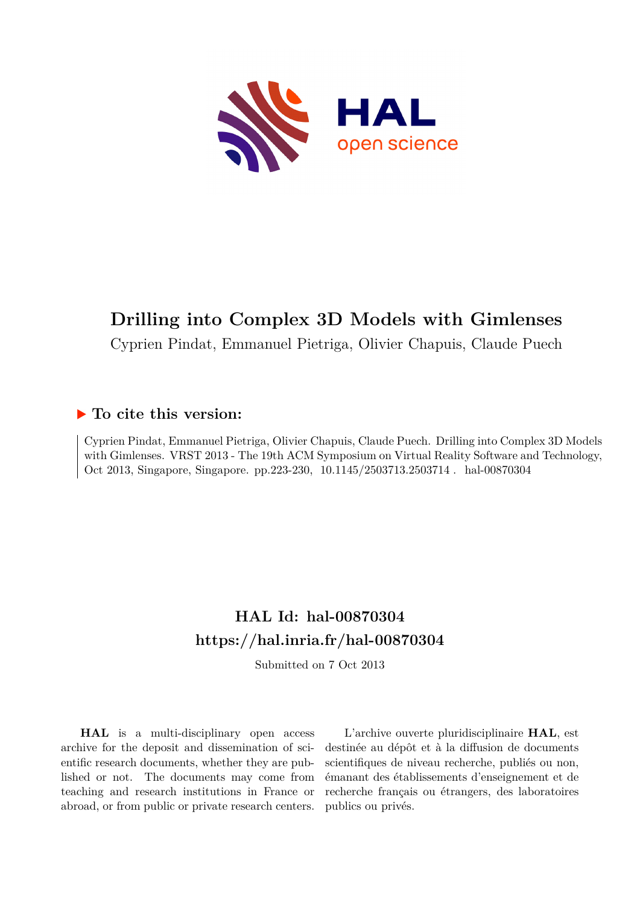

# **Drilling into Complex 3D Models with Gimlenses**

Cyprien Pindat, Emmanuel Pietriga, Olivier Chapuis, Claude Puech

# **To cite this version:**

Cyprien Pindat, Emmanuel Pietriga, Olivier Chapuis, Claude Puech. Drilling into Complex 3D Models with Gimlenses. VRST 2013 - The 19th ACM Symposium on Virtual Reality Software and Technology, Oct 2013, Singapore, Singapore. pp.223-230,  $10.1145/2503713.2503714$ . hal-00870304

# **HAL Id: hal-00870304 <https://hal.inria.fr/hal-00870304>**

Submitted on 7 Oct 2013

**HAL** is a multi-disciplinary open access archive for the deposit and dissemination of scientific research documents, whether they are published or not. The documents may come from teaching and research institutions in France or abroad, or from public or private research centers.

L'archive ouverte pluridisciplinaire **HAL**, est destinée au dépôt et à la diffusion de documents scientifiques de niveau recherche, publiés ou non, émanant des établissements d'enseignement et de recherche français ou étrangers, des laboratoires publics ou privés.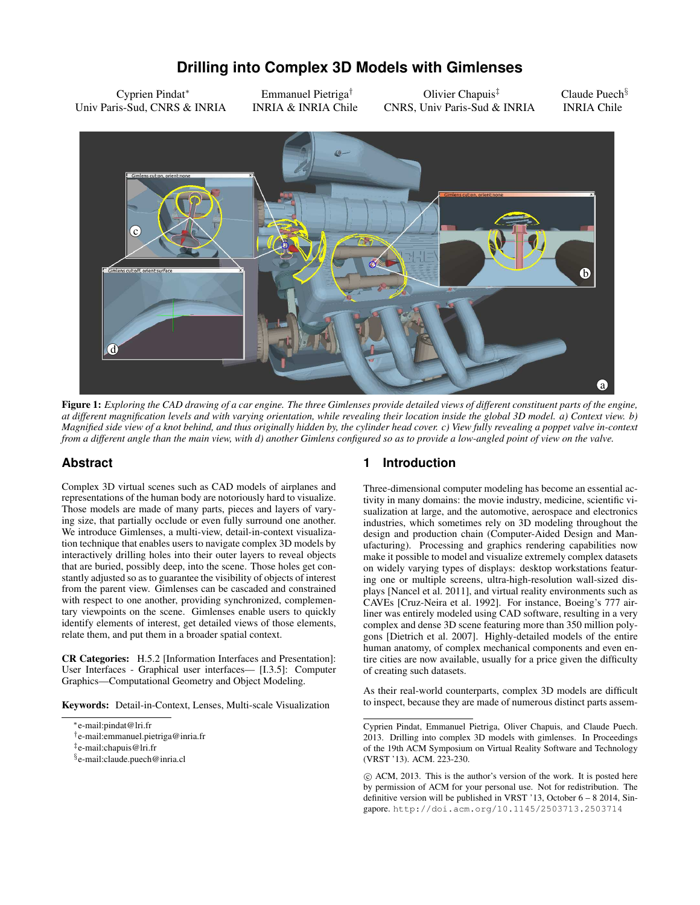# **Drilling into Complex 3D Models with Gimlenses**

Cyprien Pindat<sup>∗</sup> Univ Paris-Sud, CNRS & INRIA

Emmanuel Pietriga† INRIA & INRIA Chile

Olivier Chapuis‡ CNRS, Univ Paris-Sud & INRIA Claude Puech<sup>§</sup> INRIA Chile



Figure 1: *Exploring the CAD drawing of a car engine. The three Gimlenses provide detailed views of different constituent parts of the engine, at different magnification levels and with varying orientation, while revealing their location inside the global 3D model. a) Context view. b) Magnified side view of a knot behind, and thus originally hidden by, the cylinder head cover. c) View fully revealing a poppet valve in-context from a different angle than the main view, with d) another Gimlens configured so as to provide a low-angled point of view on the valve.*

## <span id="page-1-0"></span>**Abstract**

Complex 3D virtual scenes such as CAD models of airplanes and representations of the human body are notoriously hard to visualize. Those models are made of many parts, pieces and layers of varying size, that partially occlude or even fully surround one another. We introduce Gimlenses, a multi-view, detail-in-context visualization technique that enables users to navigate complex 3D models by interactively drilling holes into their outer layers to reveal objects that are buried, possibly deep, into the scene. Those holes get constantly adjusted so as to guarantee the visibility of objects of interest from the parent view. Gimlenses can be cascaded and constrained with respect to one another, providing synchronized, complementary viewpoints on the scene. Gimlenses enable users to quickly identify elements of interest, get detailed views of those elements, relate them, and put them in a broader spatial context.

CR Categories: H.5.2 [Information Interfaces and Presentation]: User Interfaces - Graphical user interfaces— [I.3.5]: Computer Graphics—Computational Geometry and Object Modeling.

Keywords: Detail-in-Context, Lenses, Multi-scale Visualization

#### **1 Introduction**

Three-dimensional computer modeling has become an essential activity in many domains: the movie industry, medicine, scientific visualization at large, and the automotive, aerospace and electronics industries, which sometimes rely on 3D modeling throughout the design and production chain (Computer-Aided Design and Manufacturing). Processing and graphics rendering capabilities now make it possible to model and visualize extremely complex datasets on widely varying types of displays: desktop workstations featuring one or multiple screens, ultra-high-resolution wall-sized displays [\[Nancel et al. 2011\]](#page-8-0), and virtual reality environments such as CAVEs [\[Cruz-Neira et al. 1992\]](#page-8-1). For instance, Boeing's 777 airliner was entirely modeled using CAD software, resulting in a very complex and dense 3D scene featuring more than 350 million polygons [\[Dietrich et al. 2007\]](#page-8-2). Highly-detailed models of the entire human anatomy, of complex mechanical components and even entire cities are now available, usually for a price given the difficulty of creating such datasets.

As their real-world counterparts, complex 3D models are difficult to inspect, because they are made of numerous distinct parts assem-

<sup>∗</sup>e-mail:pindat@lri.fr

<sup>†</sup> e-mail:emmanuel.pietriga@inria.fr

<sup>‡</sup> e-mail:chapuis@lri.fr

<sup>§</sup> e-mail:claude.puech@inria.cl

Cyprien Pindat, Emmanuel Pietriga, Oliver Chapuis, and Claude Puech. 2013. Drilling into complex 3D models with gimlenses. In Proceedings of the 19th ACM Symposium on Virtual Reality Software and Technology (VRST '13). ACM. 223-230.

c ACM, 2013. This is the author's version of the work. It is posted here by permission of ACM for your personal use. Not for redistribution. The definitive version will be published in VRST '13, October 6 – 8 2014, Singapore. <http://doi.acm.org/10.1145/2503713.2503714>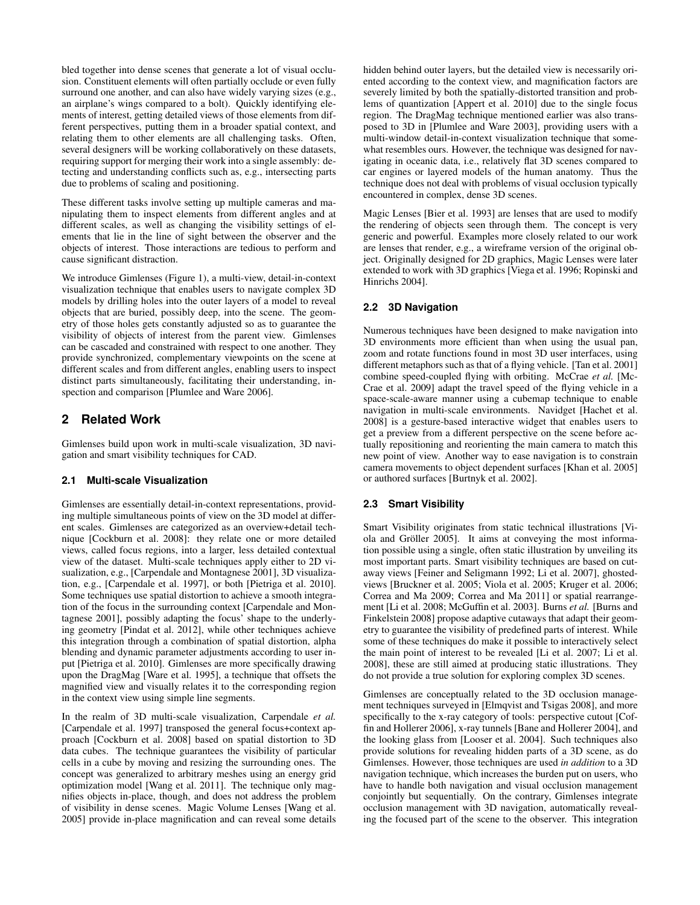bled together into dense scenes that generate a lot of visual occlusion. Constituent elements will often partially occlude or even fully surround one another, and can also have widely varying sizes (e.g., an airplane's wings compared to a bolt). Quickly identifying elements of interest, getting detailed views of those elements from different perspectives, putting them in a broader spatial context, and relating them to other elements are all challenging tasks. Often, several designers will be working collaboratively on these datasets, requiring support for merging their work into a single assembly: detecting and understanding conflicts such as, e.g., intersecting parts due to problems of scaling and positioning.

These different tasks involve setting up multiple cameras and manipulating them to inspect elements from different angles and at different scales, as well as changing the visibility settings of elements that lie in the line of sight between the observer and the objects of interest. Those interactions are tedious to perform and cause significant distraction.

We introduce Gimlenses (Figure [1\)](#page-1-0), a multi-view, detail-in-context visualization technique that enables users to navigate complex 3D models by drilling holes into the outer layers of a model to reveal objects that are buried, possibly deep, into the scene. The geometry of those holes gets constantly adjusted so as to guarantee the visibility of objects of interest from the parent view. Gimlenses can be cascaded and constrained with respect to one another. They provide synchronized, complementary viewpoints on the scene at different scales and from different angles, enabling users to inspect distinct parts simultaneously, facilitating their understanding, inspection and comparison [\[Plumlee and Ware 2006\]](#page-8-3).

# **2 Related Work**

Gimlenses build upon work in multi-scale visualization, 3D navigation and smart visibility techniques for CAD.

#### **2.1 Multi-scale Visualization**

Gimlenses are essentially detail-in-context representations, providing multiple simultaneous points of view on the 3D model at different scales. Gimlenses are categorized as an overview+detail technique [\[Cockburn et al. 2008\]](#page-8-4): they relate one or more detailed views, called focus regions, into a larger, less detailed contextual view of the dataset. Multi-scale techniques apply either to 2D visualization, e.g., [\[Carpendale and Montagnese 2001\]](#page-8-5), 3D visualization, e.g., [\[Carpendale et al. 1997\]](#page-8-6), or both [\[Pietriga et al. 2010\]](#page-8-7). Some techniques use spatial distortion to achieve a smooth integration of the focus in the surrounding context [\[Carpendale and Mon](#page-8-5)[tagnese 2001\]](#page-8-5), possibly adapting the focus' shape to the underlying geometry [\[Pindat et al. 2012\]](#page-8-8), while other techniques achieve this integration through a combination of spatial distortion, alpha blending and dynamic parameter adjustments according to user input [\[Pietriga et al. 2010\]](#page-8-7). Gimlenses are more specifically drawing upon the DragMag [\[Ware et al. 1995\]](#page-8-9), a technique that offsets the magnified view and visually relates it to the corresponding region in the context view using simple line segments.

In the realm of 3D multi-scale visualization, Carpendale *et al.* [\[Carpendale et al. 1997\]](#page-8-6) transposed the general focus+context approach [\[Cockburn et al. 2008\]](#page-8-4) based on spatial distortion to 3D data cubes. The technique guarantees the visibility of particular cells in a cube by moving and resizing the surrounding ones. The concept was generalized to arbitrary meshes using an energy grid optimization model [\[Wang et al. 2011\]](#page-8-10). The technique only magnifies objects in-place, though, and does not address the problem of visibility in dense scenes. Magic Volume Lenses [\[Wang et al.](#page-8-11) [2005\]](#page-8-11) provide in-place magnification and can reveal some details hidden behind outer layers, but the detailed view is necessarily oriented according to the context view, and magnification factors are severely limited by both the spatially-distorted transition and problems of quantization [\[Appert et al. 2010\]](#page-7-0) due to the single focus region. The DragMag technique mentioned earlier was also transposed to 3D in [\[Plumlee and Ware 2003\]](#page-8-12), providing users with a multi-window detail-in-context visualization technique that somewhat resembles ours. However, the technique was designed for navigating in oceanic data, i.e., relatively flat 3D scenes compared to car engines or layered models of the human anatomy. Thus the technique does not deal with problems of visual occlusion typically encountered in complex, dense 3D scenes.

Magic Lenses [\[Bier et al. 1993\]](#page-7-1) are lenses that are used to modify the rendering of objects seen through them. The concept is very generic and powerful. Examples more closely related to our work are lenses that render, e.g., a wireframe version of the original object. Originally designed for 2D graphics, Magic Lenses were later extended to work with 3D graphics [\[Viega et al. 1996;](#page-8-13) [Ropinski and](#page-8-14) [Hinrichs 2004\]](#page-8-14).

#### **2.2 3D Navigation**

Numerous techniques have been designed to make navigation into 3D environments more efficient than when using the usual pan, zoom and rotate functions found in most 3D user interfaces, using different metaphors such as that of a flying vehicle. [\[Tan et al. 2001\]](#page-8-15) combine speed-coupled flying with orbiting. McCrae *et al.* [\[Mc-](#page-8-16)[Crae et al. 2009\]](#page-8-16) adapt the travel speed of the flying vehicle in a space-scale-aware manner using a cubemap technique to enable navigation in multi-scale environments. Navidget [\[Hachet et al.](#page-8-17) [2008\]](#page-8-17) is a gesture-based interactive widget that enables users to get a preview from a different perspective on the scene before actually repositioning and reorienting the main camera to match this new point of view. Another way to ease navigation is to constrain camera movements to object dependent surfaces [\[Khan et al. 2005\]](#page-8-18) or authored surfaces [\[Burtnyk et al. 2002\]](#page-8-19).

#### **2.3 Smart Visibility**

Smart Visibility originates from static technical illustrations [\[Vi](#page-8-20)ola and Gröller 2005]. It aims at conveying the most information possible using a single, often static illustration by unveiling its most important parts. Smart visibility techniques are based on cutaway views [\[Feiner and Seligmann 1992;](#page-8-21) [Li et al. 2007\]](#page-8-22), ghostedviews [\[Bruckner et al. 2005;](#page-7-2) [Viola et al. 2005;](#page-8-23) [Kruger et al. 2006;](#page-8-24) [Correa and Ma 2009;](#page-8-25) [Correa and Ma 2011\]](#page-8-26) or spatial rearrangement [\[Li et al. 2008;](#page-8-27) [McGuffin et al. 2003\]](#page-8-28). Burns *et al.* [\[Burns and](#page-8-29) [Finkelstein 2008\]](#page-8-29) propose adaptive cutaways that adapt their geometry to guarantee the visibility of predefined parts of interest. While some of these techniques do make it possible to interactively select the main point of interest to be revealed [\[Li et al. 2007;](#page-8-22) [Li et al.](#page-8-27) [2008\]](#page-8-27), these are still aimed at producing static illustrations. They do not provide a true solution for exploring complex 3D scenes.

Gimlenses are conceptually related to the 3D occlusion management techniques surveyed in [\[Elmqvist and Tsigas 2008\]](#page-8-30), and more specifically to the x-ray category of tools: perspective cutout [\[Cof](#page-8-31)[fin and Hollerer 2006\]](#page-8-31), x-ray tunnels [\[Bane and Hollerer 2004\]](#page-7-3), and the looking glass from [\[Looser et al. 2004\]](#page-8-32). Such techniques also provide solutions for revealing hidden parts of a 3D scene, as do Gimlenses. However, those techniques are used *in addition* to a 3D navigation technique, which increases the burden put on users, who have to handle both navigation and visual occlusion management conjointly but sequentially. On the contrary, Gimlenses integrate occlusion management with 3D navigation, automatically revealing the focused part of the scene to the observer. This integration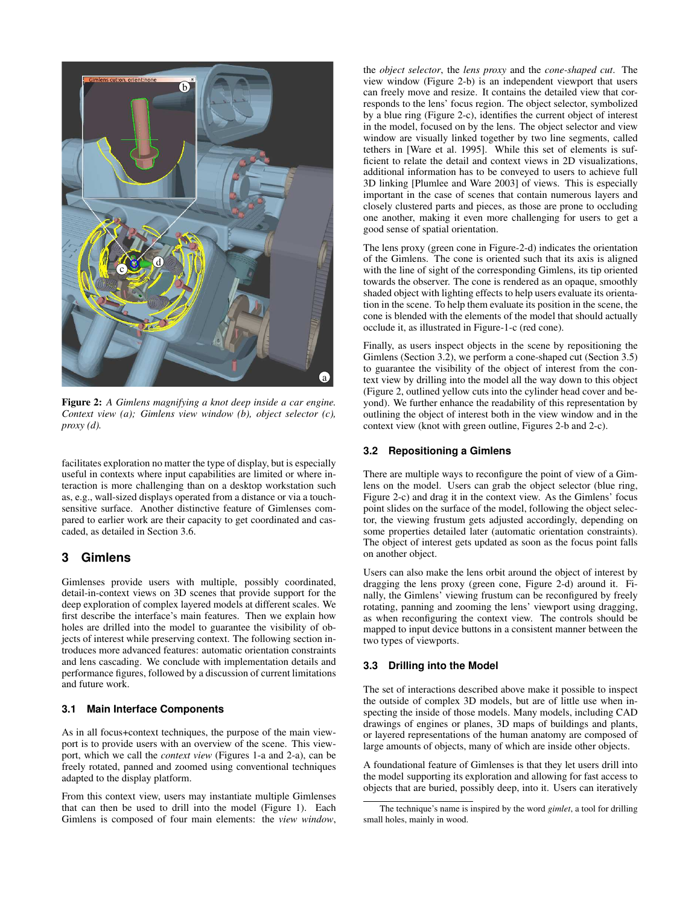<span id="page-3-0"></span>

Figure 2: *A Gimlens magnifying a knot deep inside a car engine. Context view (a); Gimlens view window (b), object selector (c), proxy (d).*

facilitates exploration no matter the type of display, but is especially useful in contexts where input capabilities are limited or where interaction is more challenging than on a desktop workstation such as, e.g., wall-sized displays operated from a distance or via a touchsensitive surface. Another distinctive feature of Gimlenses compared to earlier work are their capacity to get coordinated and cascaded, as detailed in Section [3.6.](#page-5-0)

## **3 Gimlens**

Gimlenses provide users with multiple, possibly coordinated, detail-in-context views on 3D scenes that provide support for the deep exploration of complex layered models at different scales. We first describe the interface's main features. Then we explain how holes are drilled into the model to guarantee the visibility of objects of interest while preserving context. The following section introduces more advanced features: automatic orientation constraints and lens cascading. We conclude with implementation details and performance figures, followed by a discussion of current limitations and future work.

#### **3.1 Main Interface Components**

As in all focus+context techniques, the purpose of the main viewport is to provide users with an overview of the scene. This viewport, which we call the *context view* (Figures [1-](#page-1-0)a and [2-](#page-3-0)a), can be freely rotated, panned and zoomed using conventional techniques adapted to the display platform.

From this context view, users may instantiate multiple Gimlenses that can then be used to drill into the model (Figure [1\)](#page-1-0). Each Gimlens is composed of four main elements: the *view window*, the *object selector*, the *lens proxy* and the *cone-shaped cut*. The view window (Figure [2-](#page-3-0)b) is an independent viewport that users can freely move and resize. It contains the detailed view that corresponds to the lens' focus region. The object selector, symbolized by a blue ring (Figure [2-](#page-3-0)c), identifies the current object of interest in the model, focused on by the lens. The object selector and view window are visually linked together by two line segments, called tethers in [\[Ware et al. 1995\]](#page-8-9). While this set of elements is sufficient to relate the detail and context views in 2D visualizations, additional information has to be conveyed to users to achieve full 3D linking [\[Plumlee and Ware 2003\]](#page-8-12) of views. This is especially important in the case of scenes that contain numerous layers and closely clustered parts and pieces, as those are prone to occluding one another, making it even more challenging for users to get a good sense of spatial orientation.

The lens proxy (green cone in Figure[-2-](#page-3-0)d) indicates the orientation of the Gimlens. The cone is oriented such that its axis is aligned with the line of sight of the corresponding Gimlens, its tip oriented towards the observer. The cone is rendered as an opaque, smoothly shaded object with lighting effects to help users evaluate its orientation in the scene. To help them evaluate its position in the scene, the cone is blended with the elements of the model that should actually occlude it, as illustrated in Figure[-1-](#page-1-0)c (red cone).

Finally, as users inspect objects in the scene by repositioning the Gimlens (Section [3.2\)](#page-3-1), we perform a cone-shaped cut (Section [3.5\)](#page-5-1) to guarantee the visibility of the object of interest from the context view by drilling into the model all the way down to this object (Figure [2,](#page-3-0) outlined yellow cuts into the cylinder head cover and beyond). We further enhance the readability of this representation by outlining the object of interest both in the view window and in the context view (knot with green outline, Figures [2-](#page-3-0)b and [2-](#page-3-0)c).

#### <span id="page-3-1"></span>**3.2 Repositioning a Gimlens**

There are multiple ways to reconfigure the point of view of a Gimlens on the model. Users can grab the object selector (blue ring, Figure [2-](#page-3-0)c) and drag it in the context view. As the Gimlens' focus point slides on the surface of the model, following the object selector, the viewing frustum gets adjusted accordingly, depending on some properties detailed later (automatic orientation constraints). The object of interest gets updated as soon as the focus point falls on another object.

Users can also make the lens orbit around the object of interest by dragging the lens proxy (green cone, Figure [2-](#page-3-0)d) around it. Finally, the Gimlens' viewing frustum can be reconfigured by freely rotating, panning and zooming the lens' viewport using dragging, as when reconfiguring the context view. The controls should be mapped to input device buttons in a consistent manner between the two types of viewports.

#### **3.3 Drilling into the Model**

The set of interactions described above make it possible to inspect the outside of complex 3D models, but are of little use when inspecting the inside of those models. Many models, including CAD drawings of engines or planes, 3D maps of buildings and plants, or layered representations of the human anatomy are composed of large amounts of objects, many of which are inside other objects.

A foundational feature of Gimlenses is that they let users drill into the model supporting its exploration and allowing for fast access to objects that are buried, possibly deep, into it. Users can iteratively

The technique's name is inspired by the word *gimlet*, a tool for drilling small holes, mainly in wood.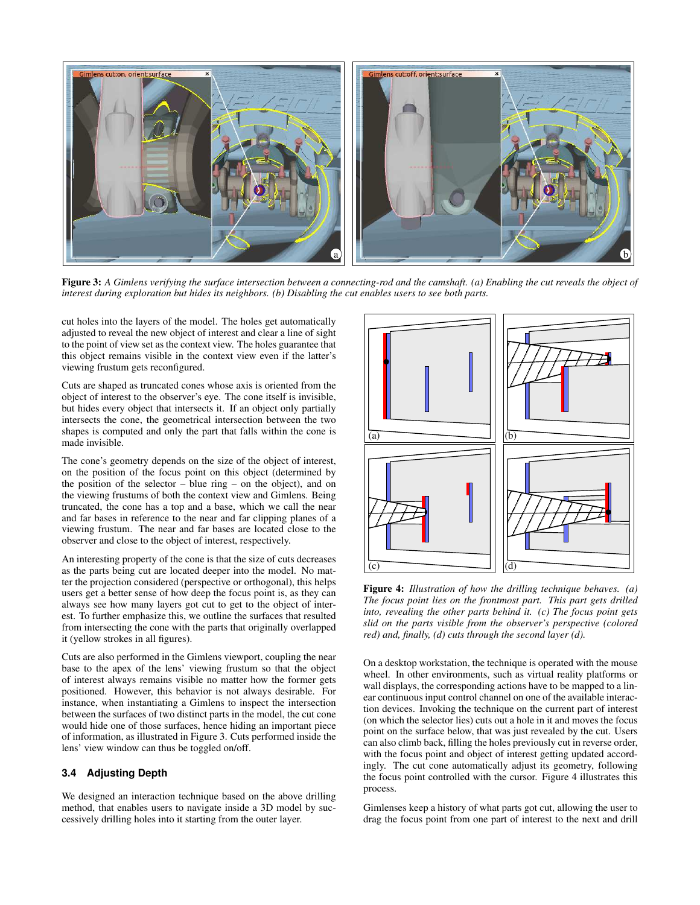<span id="page-4-0"></span>

Figure 3: *A Gimlens verifying the surface intersection between a connecting-rod and the camshaft. (a) Enabling the cut reveals the object of interest during exploration but hides its neighbors. (b) Disabling the cut enables users to see both parts.*

cut holes into the layers of the model. The holes get automatically adjusted to reveal the new object of interest and clear a line of sight to the point of view set as the context view. The holes guarantee that this object remains visible in the context view even if the latter's viewing frustum gets reconfigured.

Cuts are shaped as truncated cones whose axis is oriented from the object of interest to the observer's eye. The cone itself is invisible, but hides every object that intersects it. If an object only partially intersects the cone, the geometrical intersection between the two shapes is computed and only the part that falls within the cone is made invisible.

The cone's geometry depends on the size of the object of interest, on the position of the focus point on this object (determined by the position of the selector – blue ring – on the object), and on the viewing frustums of both the context view and Gimlens. Being truncated, the cone has a top and a base, which we call the near and far bases in reference to the near and far clipping planes of a viewing frustum. The near and far bases are located close to the observer and close to the object of interest, respectively.

An interesting property of the cone is that the size of cuts decreases as the parts being cut are located deeper into the model. No matter the projection considered (perspective or orthogonal), this helps users get a better sense of how deep the focus point is, as they can always see how many layers got cut to get to the object of interest. To further emphasize this, we outline the surfaces that resulted from intersecting the cone with the parts that originally overlapped it (yellow strokes in all figures).

Cuts are also performed in the Gimlens viewport, coupling the near base to the apex of the lens' viewing frustum so that the object of interest always remains visible no matter how the former gets positioned. However, this behavior is not always desirable. For instance, when instantiating a Gimlens to inspect the intersection between the surfaces of two distinct parts in the model, the cut cone would hide one of those surfaces, hence hiding an important piece of information, as illustrated in Figure [3.](#page-4-0) Cuts performed inside the lens' view window can thus be toggled on/off.

#### **3.4 Adjusting Depth**

We designed an interaction technique based on the above drilling method, that enables users to navigate inside a 3D model by successively drilling holes into it starting from the outer layer.

<span id="page-4-1"></span>

Figure 4: *Illustration of how the drilling technique behaves. (a) The focus point lies on the frontmost part. This part gets drilled into, revealing the other parts behind it. (c) The focus point gets slid on the parts visible from the observer's perspective (colored red) and, finally, (d) cuts through the second layer (d).*

On a desktop workstation, the technique is operated with the mouse wheel. In other environments, such as virtual reality platforms or wall displays, the corresponding actions have to be mapped to a linear continuous input control channel on one of the available interaction devices. Invoking the technique on the current part of interest (on which the selector lies) cuts out a hole in it and moves the focus point on the surface below, that was just revealed by the cut. Users can also climb back, filling the holes previously cut in reverse order, with the focus point and object of interest getting updated accordingly. The cut cone automatically adjust its geometry, following the focus point controlled with the cursor. Figure [4](#page-4-1) illustrates this process.

Gimlenses keep a history of what parts got cut, allowing the user to drag the focus point from one part of interest to the next and drill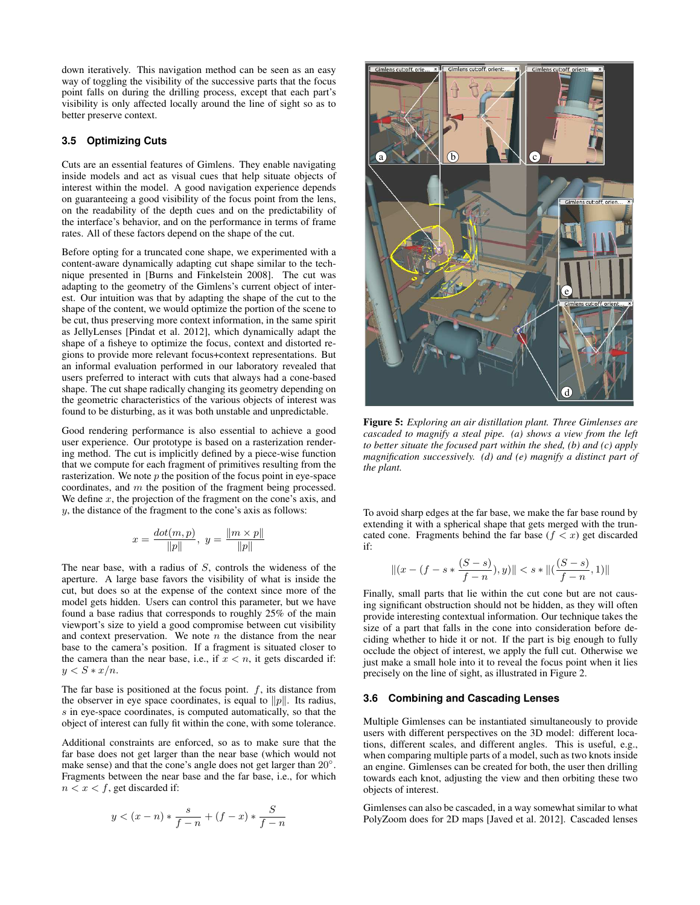down iteratively. This navigation method can be seen as an easy way of toggling the visibility of the successive parts that the focus point falls on during the drilling process, except that each part's visibility is only affected locally around the line of sight so as to better preserve context.

#### <span id="page-5-1"></span>**3.5 Optimizing Cuts**

Cuts are an essential features of Gimlens. They enable navigating inside models and act as visual cues that help situate objects of interest within the model. A good navigation experience depends on guaranteeing a good visibility of the focus point from the lens, on the readability of the depth cues and on the predictability of the interface's behavior, and on the performance in terms of frame rates. All of these factors depend on the shape of the cut.

Before opting for a truncated cone shape, we experimented with a content-aware dynamically adapting cut shape similar to the technique presented in [\[Burns and Finkelstein 2008\]](#page-8-29). The cut was adapting to the geometry of the Gimlens's current object of interest. Our intuition was that by adapting the shape of the cut to the shape of the content, we would optimize the portion of the scene to be cut, thus preserving more context information, in the same spirit as JellyLenses [\[Pindat et al. 2012\]](#page-8-8), which dynamically adapt the shape of a fisheye to optimize the focus, context and distorted regions to provide more relevant focus+context representations. But an informal evaluation performed in our laboratory revealed that users preferred to interact with cuts that always had a cone-based shape. The cut shape radically changing its geometry depending on the geometric characteristics of the various objects of interest was found to be disturbing, as it was both unstable and unpredictable.

Good rendering performance is also essential to achieve a good user experience. Our prototype is based on a rasterization rendering method. The cut is implicitly defined by a piece-wise function that we compute for each fragment of primitives resulting from the rasterization. We note  $p$  the position of the focus point in eye-space coordinates, and m the position of the fragment being processed. We define  $x$ , the projection of the fragment on the cone's axis, and y, the distance of the fragment to the cone's axis as follows:

$$
x = \frac{dot(m, p)}{\|p\|}, \ y = \frac{\|m \times p\|}{\|p\|}
$$

The near base, with a radius of S, controls the wideness of the aperture. A large base favors the visibility of what is inside the cut, but does so at the expense of the context since more of the model gets hidden. Users can control this parameter, but we have found a base radius that corresponds to roughly 25% of the main viewport's size to yield a good compromise between cut visibility and context preservation. We note  $n$  the distance from the near base to the camera's position. If a fragment is situated closer to the camera than the near base, i.e., if  $x < n$ , it gets discarded if:  $y < S * x/n$ .

The far base is positioned at the focus point.  $f$ , its distance from the observer in eye space coordinates, is equal to  $||p||$ . Its radius, s in eye-space coordinates, is computed automatically, so that the object of interest can fully fit within the cone, with some tolerance.

Additional constraints are enforced, so as to make sure that the far base does not get larger than the near base (which would not make sense) and that the cone's angle does not get larger than 20°. Fragments between the near base and the far base, i.e., for which  $n < x < f$ , get discarded if:

$$
y < (x - n) * \frac{s}{f - n} + (f - x) * \frac{S}{f - n}
$$

<span id="page-5-2"></span>

Figure 5: *Exploring an air distillation plant. Three Gimlenses are cascaded to magnify a steal pipe. (a) shows a view from the left to better situate the focused part within the shed, (b) and (c) apply magnification successively. (d) and (e) magnify a distinct part of the plant.*

To avoid sharp edges at the far base, we make the far base round by extending it with a spherical shape that gets merged with the truncated cone. Fragments behind the far base  $(f < x)$  get discarded if:

$$
\|(x-(f-s*\frac{(S-s)}{f-n}),y)\|
$$

Finally, small parts that lie within the cut cone but are not causing significant obstruction should not be hidden, as they will often provide interesting contextual information. Our technique takes the size of a part that falls in the cone into consideration before deciding whether to hide it or not. If the part is big enough to fully occlude the object of interest, we apply the full cut. Otherwise we just make a small hole into it to reveal the focus point when it lies precisely on the line of sight, as illustrated in Figure [2.](#page-3-0)

#### <span id="page-5-0"></span>**3.6 Combining and Cascading Lenses**

Multiple Gimlenses can be instantiated simultaneously to provide users with different perspectives on the 3D model: different locations, different scales, and different angles. This is useful, e.g., when comparing multiple parts of a model, such as two knots inside an engine. Gimlenses can be created for both, the user then drilling towards each knot, adjusting the view and then orbiting these two objects of interest.

Gimlenses can also be cascaded, in a way somewhat similar to what PolyZoom does for 2D maps [\[Javed et al. 2012\]](#page-8-33). Cascaded lenses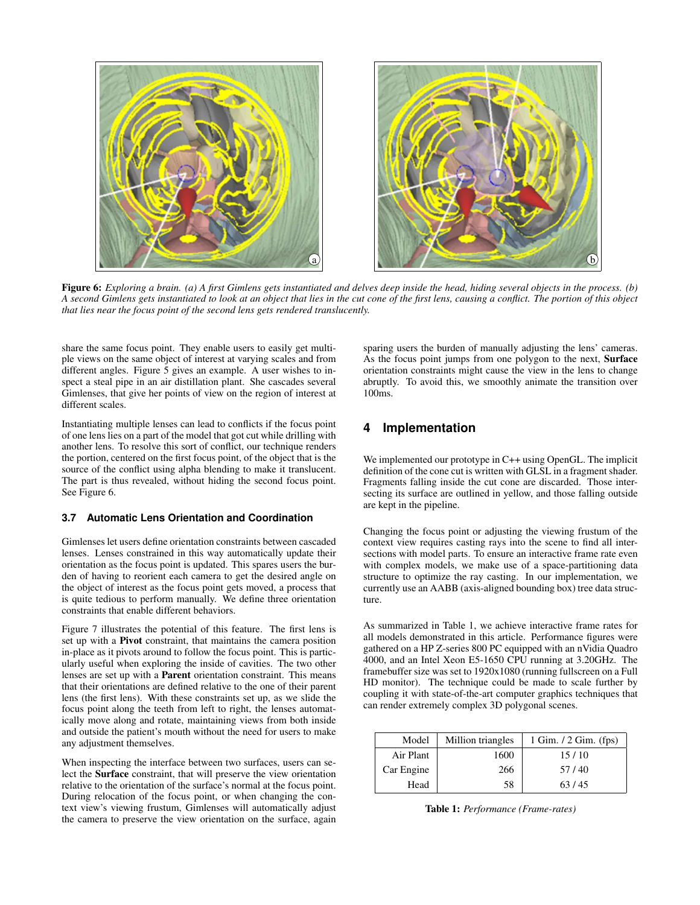

<span id="page-6-0"></span>

Figure 6: *Exploring a brain. (a) A first Gimlens gets instantiated and delves deep inside the head, hiding several objects in the process. (b) A second Gimlens gets instantiated to look at an object that lies in the cut cone of the first lens, causing a conflict. The portion of this object that lies near the focus point of the second lens gets rendered translucently.*

share the same focus point. They enable users to easily get multiple views on the same object of interest at varying scales and from different angles. Figure [5](#page-5-2) gives an example. A user wishes to inspect a steal pipe in an air distillation plant. She cascades several Gimlenses, that give her points of view on the region of interest at different scales.

Instantiating multiple lenses can lead to conflicts if the focus point of one lens lies on a part of the model that got cut while drilling with another lens. To resolve this sort of conflict, our technique renders the portion, centered on the first focus point, of the object that is the source of the conflict using alpha blending to make it translucent. The part is thus revealed, without hiding the second focus point. See Figure [6.](#page-6-0)

#### **3.7 Automatic Lens Orientation and Coordination**

Gimlenses let users define orientation constraints between cascaded lenses. Lenses constrained in this way automatically update their orientation as the focus point is updated. This spares users the burden of having to reorient each camera to get the desired angle on the object of interest as the focus point gets moved, a process that is quite tedious to perform manually. We define three orientation constraints that enable different behaviors.

Figure [7](#page-7-4) illustrates the potential of this feature. The first lens is set up with a Pivot constraint, that maintains the camera position in-place as it pivots around to follow the focus point. This is particularly useful when exploring the inside of cavities. The two other lenses are set up with a Parent orientation constraint. This means that their orientations are defined relative to the one of their parent lens (the first lens). With these constraints set up, as we slide the focus point along the teeth from left to right, the lenses automatically move along and rotate, maintaining views from both inside and outside the patient's mouth without the need for users to make any adjustment themselves.

When inspecting the interface between two surfaces, users can select the Surface constraint, that will preserve the view orientation relative to the orientation of the surface's normal at the focus point. During relocation of the focus point, or when changing the context view's viewing frustum, Gimlenses will automatically adjust the camera to preserve the view orientation on the surface, again

sparing users the burden of manually adjusting the lens' cameras. As the focus point jumps from one polygon to the next, Surface orientation constraints might cause the view in the lens to change abruptly. To avoid this, we smoothly animate the transition over 100ms.

### **4 Implementation**

We implemented our prototype in C++ using OpenGL. The implicit definition of the cone cut is written with GLSL in a fragment shader. Fragments falling inside the cut cone are discarded. Those intersecting its surface are outlined in yellow, and those falling outside are kept in the pipeline.

Changing the focus point or adjusting the viewing frustum of the context view requires casting rays into the scene to find all intersections with model parts. To ensure an interactive frame rate even with complex models, we make use of a space-partitioning data structure to optimize the ray casting. In our implementation, we currently use an AABB (axis-aligned bounding box) tree data structure.

As summarized in Table [1,](#page-6-1) we achieve interactive frame rates for all models demonstrated in this article. Performance figures were gathered on a HP Z-series 800 PC equipped with an nVidia Quadro 4000, and an Intel Xeon E5-1650 CPU running at 3.20GHz. The framebuffer size was set to 1920x1080 (running fullscreen on a Full HD monitor). The technique could be made to scale further by coupling it with state-of-the-art computer graphics techniques that can render extremely complex 3D polygonal scenes.

<span id="page-6-1"></span>

| Model      | Million triangles | $1$ Gim. $/2$ Gim. (fps) |
|------------|-------------------|--------------------------|
| Air Plant  | 1600              | 15/10                    |
| Car Engine | 266               | 57/40                    |
| Head       | 58                | 63/45                    |

Table 1: *Performance (Frame-rates)*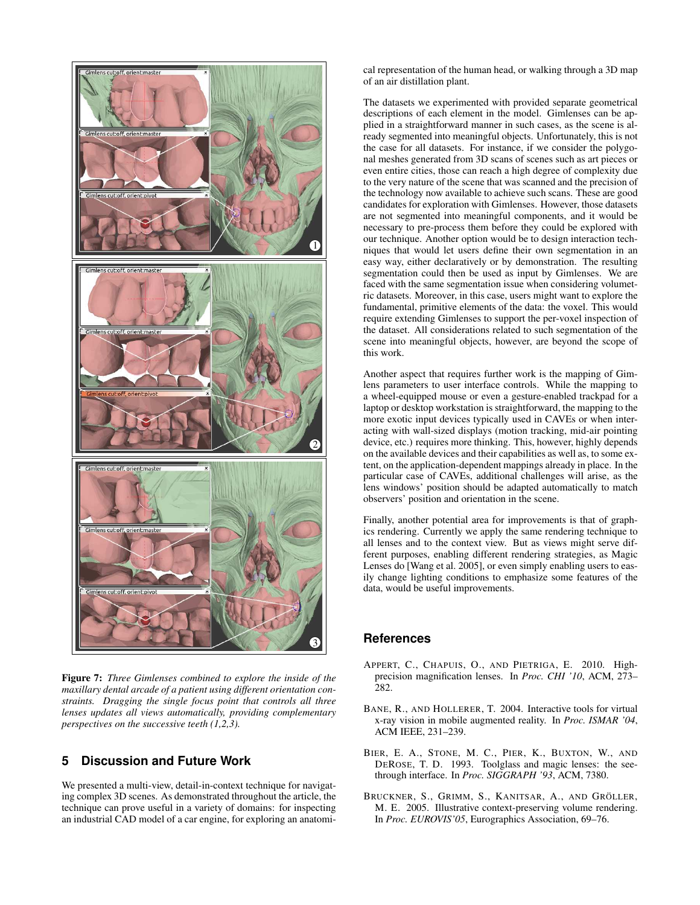<span id="page-7-4"></span>

Figure 7: *Three Gimlenses combined to explore the inside of the maxillary dental arcade of a patient using different orientation constraints. Dragging the single focus point that controls all three lenses updates all views automatically, providing complementary perspectives on the successive teeth (1,2,3).*

## **5 Discussion and Future Work**

We presented a multi-view, detail-in-context technique for navigating complex 3D scenes. As demonstrated throughout the article, the technique can prove useful in a variety of domains: for inspecting an industrial CAD model of a car engine, for exploring an anatomical representation of the human head, or walking through a 3D map of an air distillation plant.

The datasets we experimented with provided separate geometrical descriptions of each element in the model. Gimlenses can be applied in a straightforward manner in such cases, as the scene is already segmented into meaningful objects. Unfortunately, this is not the case for all datasets. For instance, if we consider the polygonal meshes generated from 3D scans of scenes such as art pieces or even entire cities, those can reach a high degree of complexity due to the very nature of the scene that was scanned and the precision of the technology now available to achieve such scans. These are good candidates for exploration with Gimlenses. However, those datasets are not segmented into meaningful components, and it would be necessary to pre-process them before they could be explored with our technique. Another option would be to design interaction techniques that would let users define their own segmentation in an easy way, either declaratively or by demonstration. The resulting segmentation could then be used as input by Gimlenses. We are faced with the same segmentation issue when considering volumetric datasets. Moreover, in this case, users might want to explore the fundamental, primitive elements of the data: the voxel. This would require extending Gimlenses to support the per-voxel inspection of the dataset. All considerations related to such segmentation of the scene into meaningful objects, however, are beyond the scope of this work.

Another aspect that requires further work is the mapping of Gimlens parameters to user interface controls. While the mapping to a wheel-equipped mouse or even a gesture-enabled trackpad for a laptop or desktop workstation is straightforward, the mapping to the more exotic input devices typically used in CAVEs or when interacting with wall-sized displays (motion tracking, mid-air pointing device, etc.) requires more thinking. This, however, highly depends on the available devices and their capabilities as well as, to some extent, on the application-dependent mappings already in place. In the particular case of CAVEs, additional challenges will arise, as the lens windows' position should be adapted automatically to match observers' position and orientation in the scene.

Finally, another potential area for improvements is that of graphics rendering. Currently we apply the same rendering technique to all lenses and to the context view. But as views might serve different purposes, enabling different rendering strategies, as Magic Lenses do [\[Wang et al. 2005\]](#page-8-11), or even simply enabling users to easily change lighting conditions to emphasize some features of the data, would be useful improvements.

#### **References**

- <span id="page-7-0"></span>APPERT, C., CHAPUIS, O., AND PIETRIGA, E. 2010. Highprecision magnification lenses. In *Proc. CHI '10*, ACM, 273– 282.
- <span id="page-7-3"></span>BANE, R., AND HOLLERER, T. 2004. Interactive tools for virtual x-ray vision in mobile augmented reality. In *Proc. ISMAR '04*, ACM IEEE, 231–239.
- <span id="page-7-1"></span>BIER, E. A., STONE, M. C., PIER, K., BUXTON, W., AND DEROSE, T. D. 1993. Toolglass and magic lenses: the seethrough interface. In *Proc. SIGGRAPH '93*, ACM, 7380.
- <span id="page-7-2"></span>BRUCKNER, S., GRIMM, S., KANITSAR, A., AND GRÖLLER, M. E. 2005. Illustrative context-preserving volume rendering. In *Proc. EUROVIS'05*, Eurographics Association, 69–76.